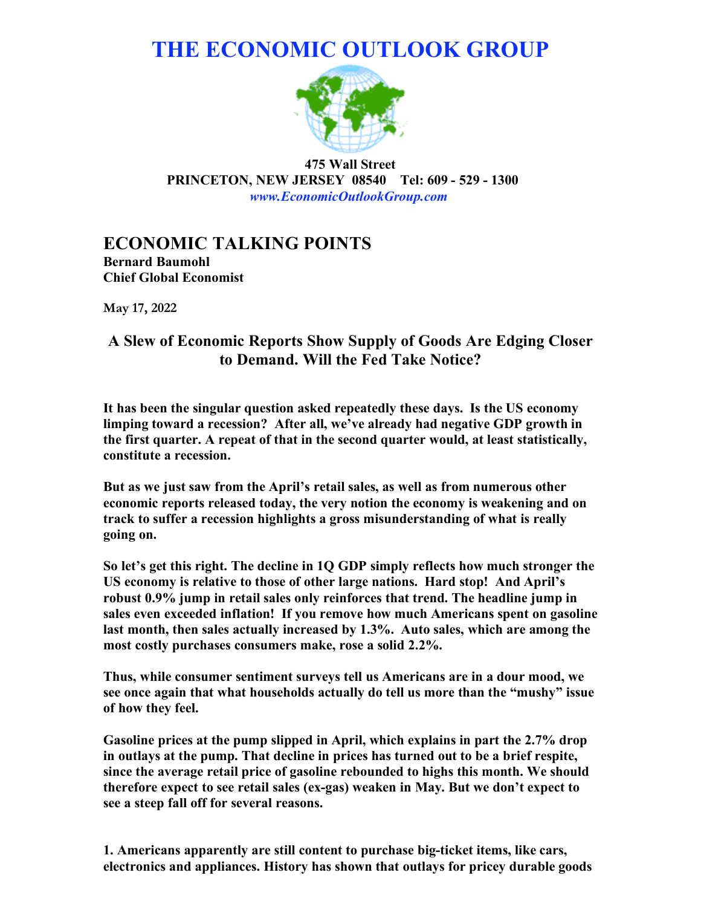# **THE ECONOMIC OUTLOOK GROUP**



**475 Wall Street PRINCETON, NEW JERSEY 08540 Tel: 609 - 529 - 1300**  *www.EconomicOutlookGroup.com*

## **ECONOMIC TALKING POINTS**

**Bernard Baumohl Chief Global Economist** 

**May 17, 2022**

### **A Slew of Economic Reports Show Supply of Goods Are Edging Closer to Demand. Will the Fed Take Notice?**

**It has been the singular question asked repeatedly these days. Is the US economy limping toward a recession? After all, we've already had negative GDP growth in the first quarter. A repeat of that in the second quarter would, at least statistically, constitute a recession.**

**But as we just saw from the April's retail sales, as well as from numerous other economic reports released today, the very notion the economy is weakening and on track to suffer a recession highlights a gross misunderstanding of what is really going on.**

**So let's get this right. The decline in 1Q GDP simply reflects how much stronger the US economy is relative to those of other large nations. Hard stop! And April's robust 0.9% jump in retail sales only reinforces that trend. The headline jump in sales even exceeded inflation! If you remove how much Americans spent on gasoline last month, then sales actually increased by 1.3%. Auto sales, which are among the most costly purchases consumers make, rose a solid 2.2%.**

**Thus, while consumer sentiment surveys tell us Americans are in a dour mood, we see once again that what households actually do tell us more than the "mushy" issue of how they feel.**

**Gasoline prices at the pump slipped in April, which explains in part the 2.7% drop in outlays at the pump. That decline in prices has turned out to be a brief respite, since the average retail price of gasoline rebounded to highs this month. We should therefore expect to see retail sales (ex-gas) weaken in May. But we don't expect to see a steep fall off for several reasons.**

**1. Americans apparently are still content to purchase big-ticket items, like cars, electronics and appliances. History has shown that outlays for pricey durable goods**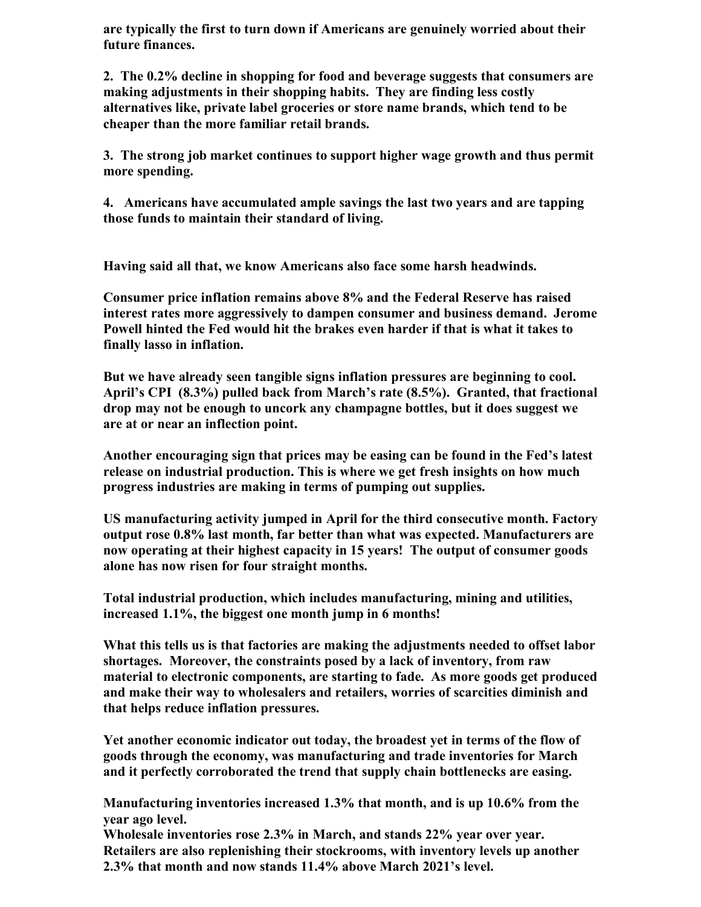**are typically the first to turn down if Americans are genuinely worried about their future finances.**

**2. The 0.2% decline in shopping for food and beverage suggests that consumers are making adjustments in their shopping habits. They are finding less costly alternatives like, private label groceries or store name brands, which tend to be cheaper than the more familiar retail brands.**

**3. The strong job market continues to support higher wage growth and thus permit more spending.**

**4. Americans have accumulated ample savings the last two years and are tapping those funds to maintain their standard of living.** 

**Having said all that, we know Americans also face some harsh headwinds.**

**Consumer price inflation remains above 8% and the Federal Reserve has raised interest rates more aggressively to dampen consumer and business demand. Jerome Powell hinted the Fed would hit the brakes even harder if that is what it takes to finally lasso in inflation.**

**But we have already seen tangible signs inflation pressures are beginning to cool. April's CPI (8.3%) pulled back from March's rate (8.5%). Granted, that fractional drop may not be enough to uncork any champagne bottles, but it does suggest we are at or near an inflection point.**

**Another encouraging sign that prices may be easing can be found in the Fed's latest release on industrial production. This is where we get fresh insights on how much progress industries are making in terms of pumping out supplies.** 

**US manufacturing activity jumped in April for the third consecutive month. Factory output rose 0.8% last month, far better than what was expected. Manufacturers are now operating at their highest capacity in 15 years! The output of consumer goods alone has now risen for four straight months.** 

**Total industrial production, which includes manufacturing, mining and utilities, increased 1.1%, the biggest one month jump in 6 months!**

**What this tells us is that factories are making the adjustments needed to offset labor shortages. Moreover, the constraints posed by a lack of inventory, from raw material to electronic components, are starting to fade. As more goods get produced and make their way to wholesalers and retailers, worries of scarcities diminish and that helps reduce inflation pressures.**

**Yet another economic indicator out today, the broadest yet in terms of the flow of goods through the economy, was manufacturing and trade inventories for March and it perfectly corroborated the trend that supply chain bottlenecks are easing.** 

**Manufacturing inventories increased 1.3% that month, and is up 10.6% from the year ago level.**

**Wholesale inventories rose 2.3% in March, and stands 22% year over year. Retailers are also replenishing their stockrooms, with inventory levels up another 2.3% that month and now stands 11.4% above March 2021's level.**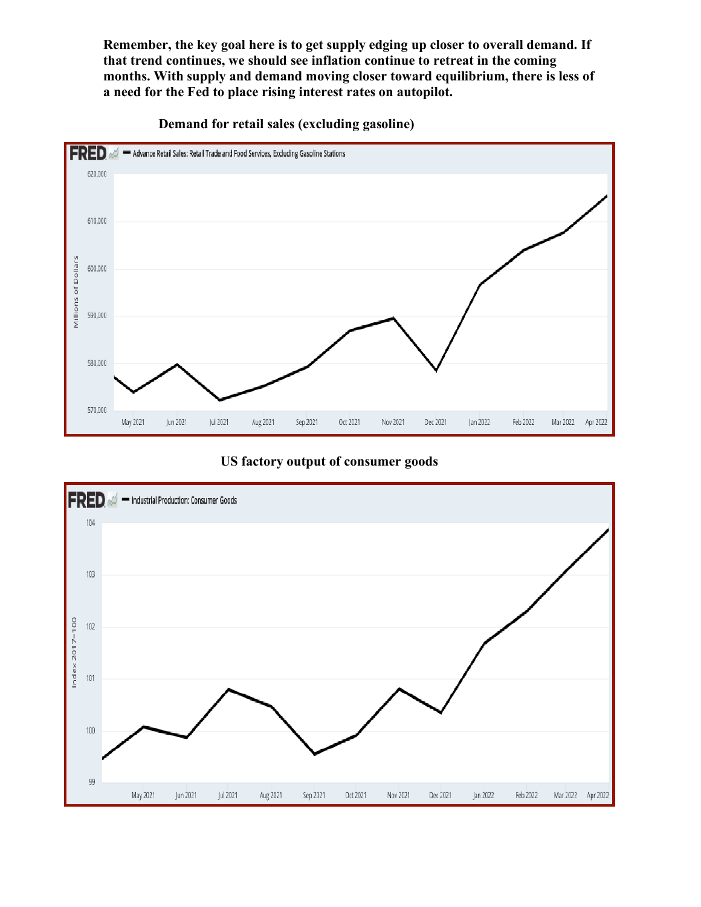**Remember, the key goal here is to get supply edging up closer to overall demand. If that trend continues, we should see inflation continue to retreat in the coming months. With supply and demand moving closer toward equilibrium, there is less of a need for the Fed to place rising interest rates on autopilot.**



 **Demand for retail sales (excluding gasoline)**

#### **US factory output of consumer goods**